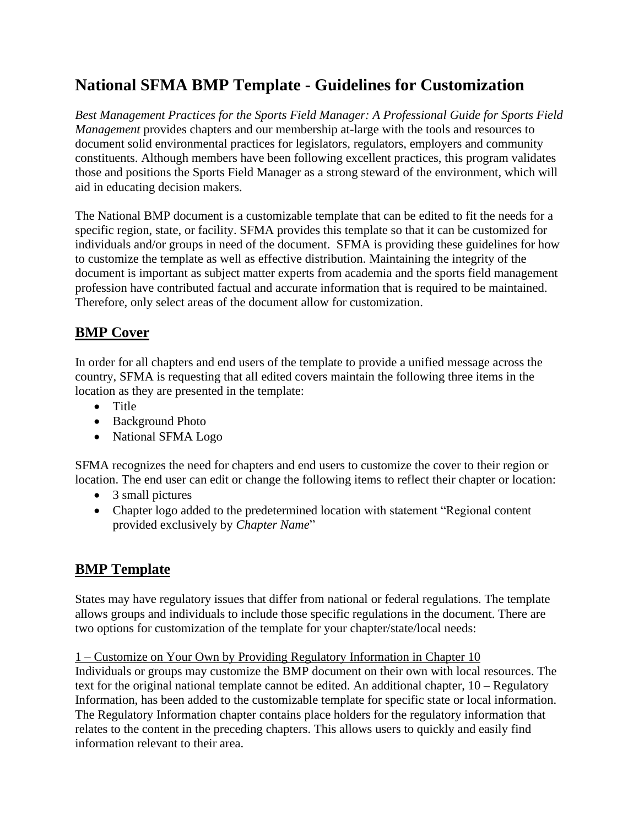# **National SFMA BMP Template - Guidelines for Customization**

*Best Management Practices for the Sports Field Manager: A Professional Guide for Sports Field Management* provides chapters and our membership at-large with the tools and resources to document solid environmental practices for legislators, regulators, employers and community constituents. Although members have been following excellent practices, this program validates those and positions the Sports Field Manager as a strong steward of the environment, which will aid in educating decision makers.

The National BMP document is a customizable template that can be edited to fit the needs for a specific region, state, or facility. SFMA provides this template so that it can be customized for individuals and/or groups in need of the document. SFMA is providing these guidelines for how to customize the template as well as effective distribution. Maintaining the integrity of the document is important as subject matter experts from academia and the sports field management profession have contributed factual and accurate information that is required to be maintained. Therefore, only select areas of the document allow for customization.

## **BMP Cover**

In order for all chapters and end users of the template to provide a unified message across the country, SFMA is requesting that all edited covers maintain the following three items in the location as they are presented in the template:

- Title
- Background Photo
- National SFMA Logo

SFMA recognizes the need for chapters and end users to customize the cover to their region or location. The end user can edit or change the following items to reflect their chapter or location:

- 3 small pictures
- Chapter logo added to the predetermined location with statement "Regional content provided exclusively by *Chapter Name*"

### **BMP Template**

States may have regulatory issues that differ from national or federal regulations. The template allows groups and individuals to include those specific regulations in the document. There are two options for customization of the template for your chapter/state/local needs:

1 – Customize on Your Own by Providing Regulatory Information in Chapter 10

Individuals or groups may customize the BMP document on their own with local resources. The text for the original national template cannot be edited. An additional chapter, 10 – Regulatory Information, has been added to the customizable template for specific state or local information. The Regulatory Information chapter contains place holders for the regulatory information that relates to the content in the preceding chapters. This allows users to quickly and easily find information relevant to their area.